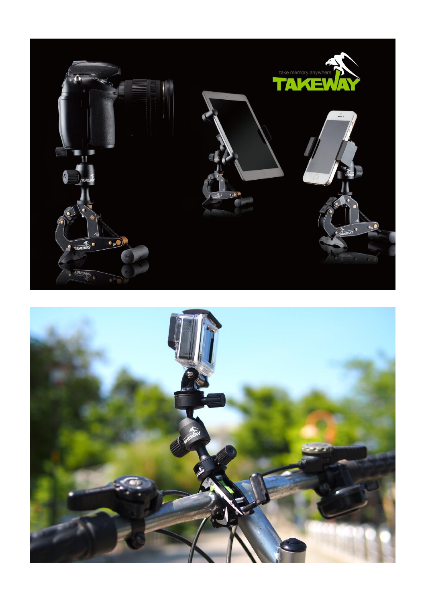

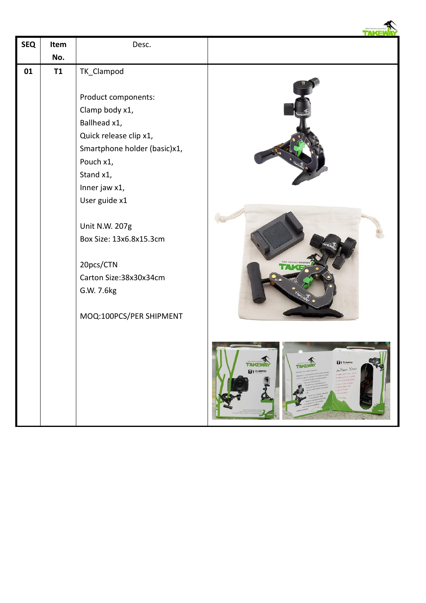| <b>SEQ</b> | Item | Desc.                                                                                                                      |                                                                                                                                                                                                                                   |
|------------|------|----------------------------------------------------------------------------------------------------------------------------|-----------------------------------------------------------------------------------------------------------------------------------------------------------------------------------------------------------------------------------|
|            | No.  |                                                                                                                            |                                                                                                                                                                                                                                   |
| 01         | T1   | TK_Clampod                                                                                                                 |                                                                                                                                                                                                                                   |
|            |      |                                                                                                                            |                                                                                                                                                                                                                                   |
|            |      | Product components:                                                                                                        |                                                                                                                                                                                                                                   |
|            |      | Clamp body x1,                                                                                                             |                                                                                                                                                                                                                                   |
|            |      | Ballhead x1,                                                                                                               |                                                                                                                                                                                                                                   |
|            |      | Quick release clip x1,                                                                                                     |                                                                                                                                                                                                                                   |
|            |      | Smartphone holder (basic)x1,                                                                                               |                                                                                                                                                                                                                                   |
|            |      | Pouch x1,                                                                                                                  |                                                                                                                                                                                                                                   |
|            |      | Stand x1,                                                                                                                  |                                                                                                                                                                                                                                   |
|            |      | Inner jaw x1,                                                                                                              |                                                                                                                                                                                                                                   |
|            |      | User guide x1                                                                                                              |                                                                                                                                                                                                                                   |
|            |      | Unit N.W. 207g<br>Box Size: 13x6.8x15.3cm<br>20pcs/CTN<br>Carton Size: 38x30x34cm<br>G.W. 7.6kg<br>MOQ:100PCS/PER SHIPMENT | TARTEMAN                                                                                                                                                                                                                          |
|            |      |                                                                                                                            | <sup>1</sup> CLAMPOD<br><b>TAKEWAY</b><br><b>TAKEWAY</b><br>When You<br><b>U</b> 1 CLAMPOD<br>. tike self-time sho<br>. take post in a party<br>. we a photographe<br>· me a love credio<br>. are in drify life<br>· go to travel |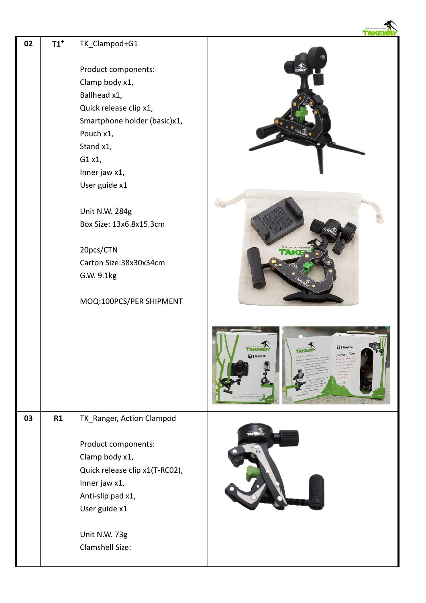| 02 | $T1^+$ | TK_Clampod+G1                      |                                                            |
|----|--------|------------------------------------|------------------------------------------------------------|
|    |        |                                    |                                                            |
|    |        | Product components:                |                                                            |
|    |        | Clamp body x1,<br>Ballhead x1,     |                                                            |
|    |        | Quick release clip x1,             |                                                            |
|    |        | Smartphone holder (basic)x1,       |                                                            |
|    |        | Pouch x1,                          |                                                            |
|    |        | Stand x1,                          |                                                            |
|    |        | G1 x1,                             |                                                            |
|    |        | Inner jaw x1,                      |                                                            |
|    |        | User guide x1                      |                                                            |
|    |        |                                    |                                                            |
|    |        | Unit N.W. 284g                     |                                                            |
|    |        | Box Size: 13x6.8x15.3cm            |                                                            |
|    |        |                                    |                                                            |
|    |        | 20pcs/CTN                          |                                                            |
|    |        | Carton Size: 38x30x34cm            |                                                            |
|    |        | G.W. 9.1kg                         |                                                            |
|    |        |                                    |                                                            |
|    |        | MOQ:100PCS/PER SHIPMENT            |                                                            |
|    |        |                                    | <b>T1</b> CLAMPOD<br>TAKE<br>When You<br><b>T1</b> CLAMPOL |
| 03 | R1     | TK_Ranger, Action Clampod          |                                                            |
|    |        |                                    |                                                            |
|    |        | Product components:                |                                                            |
|    |        | Clamp body x1,                     |                                                            |
|    |        | Quick release clip x1(T-RC02),     |                                                            |
|    |        | Inner jaw x1,                      |                                                            |
|    |        | Anti-slip pad x1,<br>User guide x1 |                                                            |
|    |        |                                    |                                                            |
|    |        | Unit N.W. 73g                      |                                                            |
|    |        | <b>Clamshell Size:</b>             |                                                            |
|    |        |                                    |                                                            |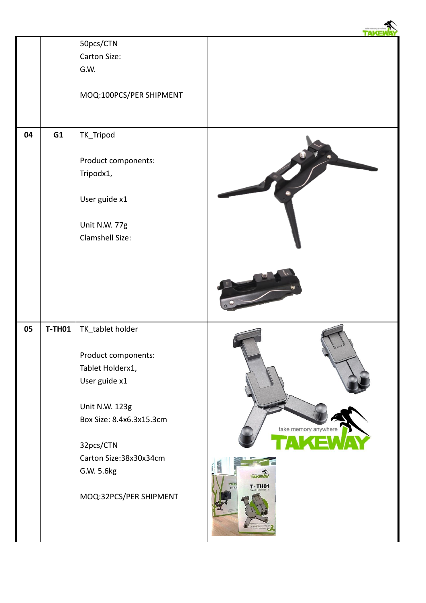|    |               | 50pcs/CTN                |                       |
|----|---------------|--------------------------|-----------------------|
|    |               | Carton Size:             |                       |
|    |               | G.W.                     |                       |
|    |               |                          |                       |
|    |               | MOQ:100PCS/PER SHIPMENT  |                       |
|    |               |                          |                       |
| 04 | G1            | TK_Tripod                |                       |
|    |               |                          |                       |
|    |               | Product components:      |                       |
|    |               | Tripodx1,                |                       |
|    |               |                          |                       |
|    |               | User guide x1            |                       |
|    |               |                          |                       |
|    |               | Unit N.W. 77g            |                       |
|    |               | Clamshell Size:          |                       |
|    |               |                          |                       |
|    |               |                          |                       |
|    |               |                          |                       |
|    |               |                          |                       |
|    |               |                          |                       |
|    |               |                          |                       |
| 05 | <b>T-TH01</b> | TK_tablet holder         |                       |
|    |               | Product components:      |                       |
|    |               | Tablet Holderx1,         |                       |
|    |               | User guide x1            |                       |
|    |               |                          |                       |
|    |               | Unit N.W. 123g           |                       |
|    |               | Box Size: 8.4x6.3x15.3cm |                       |
|    |               |                          | take memory anywhere  |
|    |               | 32pcs/CTN                |                       |
|    |               | Carton Size: 38x30x34cm  |                       |
|    |               | G.W. 5.6kg               | TAKEWAY               |
|    |               |                          | TAKE<br><b>T-TH01</b> |
|    |               | MOQ:32PCS/PER SHIPMENT   |                       |
|    |               |                          |                       |
|    |               |                          |                       |
|    |               |                          |                       |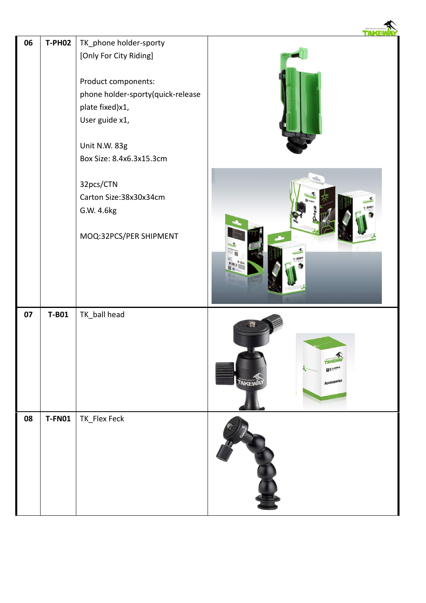| memory any<br>tak |  |
|-------------------|--|
|                   |  |

| 06 | <b>T-PH02</b> | TK_phone holder-sporty                               |                         |
|----|---------------|------------------------------------------------------|-------------------------|
|    |               | [Only For City Riding]                               |                         |
|    |               |                                                      |                         |
|    |               | Product components:                                  |                         |
|    |               | phone holder-sporty(quick-release<br>plate fixed)x1, |                         |
|    |               |                                                      |                         |
|    |               | User guide x1,                                       |                         |
|    |               | Unit N.W. 83g                                        |                         |
|    |               | Box Size: 8.4x6.3x15.3cm                             |                         |
|    |               |                                                      |                         |
|    |               | 32pcs/CTN                                            |                         |
|    |               | Carton Size: 38x30x34cm                              | $-$ SHO <sub>1</sub>    |
|    |               | G.W. 4.6kg                                           |                         |
|    |               | MOQ:32PCS/PER SHIPMENT                               |                         |
|    |               |                                                      |                         |
|    |               |                                                      | $T-SHO†$<br>580         |
|    |               |                                                      |                         |
|    |               |                                                      |                         |
|    |               |                                                      |                         |
| 07 | <b>T-B01</b>  | TK_ball head                                         |                         |
|    |               |                                                      |                         |
|    |               |                                                      |                         |
|    |               |                                                      | TAKEWAY                 |
|    |               |                                                      | $\mathbf{E}$ 1 classroo |
|    |               |                                                      | TAKEWA<br>Accessories   |
|    |               |                                                      |                         |
|    |               |                                                      |                         |
| 08 | <b>T-FN01</b> | TK_Flex Feck                                         |                         |
|    |               |                                                      |                         |
|    |               |                                                      |                         |
|    |               |                                                      |                         |
|    |               |                                                      |                         |
|    |               |                                                      |                         |
|    |               |                                                      |                         |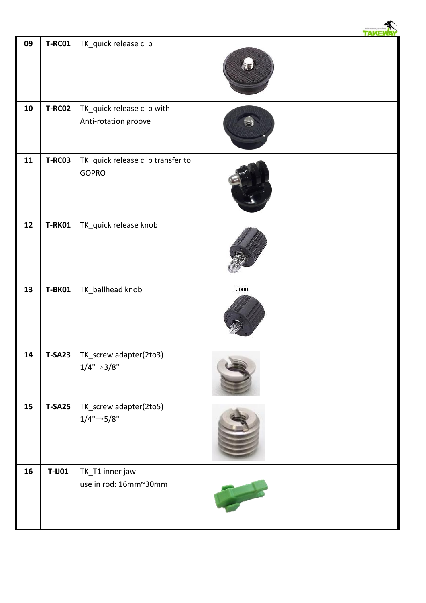| 09   | <b>T-RC01</b> | TK_quick release clip                                |               |
|------|---------------|------------------------------------------------------|---------------|
| 10   | <b>T-RC02</b> | TK_quick release clip with<br>Anti-rotation groove   |               |
| 11   | <b>T-RC03</b> | TK_quick release clip transfer to<br><b>GOPRO</b>    |               |
| $12$ | <b>T-RK01</b> | TK_quick release knob                                |               |
| 13   | <b>T-BK01</b> | TK_ballhead knob                                     | <b>T-BK01</b> |
| 14   | <b>T-SA23</b> | TK_screw adapter(2to3)<br>$1/4" \rightarrow 3/8"$    |               |
| 15   | <b>T-SA25</b> | TK_screw adapter(2to5)<br>$1/4$ " $\rightarrow$ 5/8" |               |
| 16   | <b>T-IJ01</b> | TK_T1 inner jaw<br>use in rod: 16mm~30mm             |               |